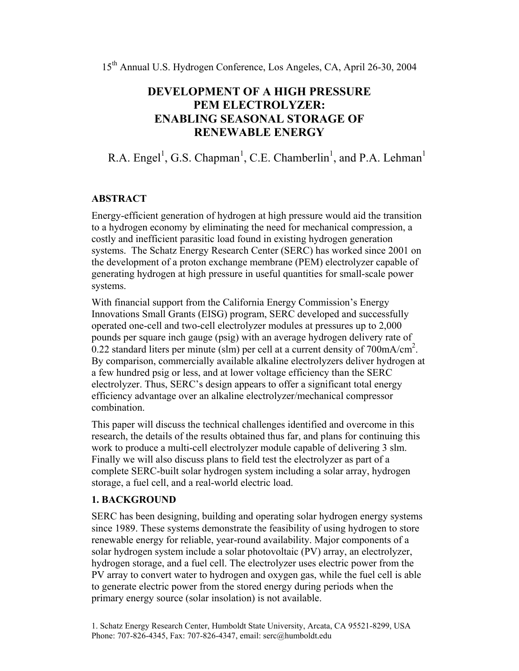15th Annual U.S. Hydrogen Conference, Los Angeles, CA, April 26-30, 2004

# **DEVELOPMENT OF A HIGH PRESSURE PEM ELECTROLYZER: ENABLING SEASONAL STORAGE OF RENEWABLE ENERGY**

R.A. Engel<sup>1</sup>, G.S. Chapman<sup>1</sup>, C.E. Chamberlin<sup>1</sup>, and P.A. Lehman<sup>1</sup>

### **ABSTRACT**

Energy-efficient generation of hydrogen at high pressure would aid the transition to a hydrogen economy by eliminating the need for mechanical compression, a costly and inefficient parasitic load found in existing hydrogen generation systems. The Schatz Energy Research Center (SERC) has worked since 2001 on the development of a proton exchange membrane (PEM) electrolyzer capable of generating hydrogen at high pressure in useful quantities for small-scale power systems.

With financial support from the California Energy Commission's Energy Innovations Small Grants (EISG) program, SERC developed and successfully operated one-cell and two-cell electrolyzer modules at pressures up to 2,000 pounds per square inch gauge (psig) with an average hydrogen delivery rate of  $0.22$  standard liters per minute (slm) per cell at a current density of 700mA/cm<sup>2</sup>. By comparison, commercially available alkaline electrolyzers deliver hydrogen at a few hundred psig or less, and at lower voltage efficiency than the SERC electrolyzer. Thus, SERC's design appears to offer a significant total energy efficiency advantage over an alkaline electrolyzer/mechanical compressor combination.

This paper will discuss the technical challenges identified and overcome in this research, the details of the results obtained thus far, and plans for continuing this work to produce a multi-cell electrolyzer module capable of delivering 3 slm. Finally we will also discuss plans to field test the electrolyzer as part of a complete SERC-built solar hydrogen system including a solar array, hydrogen storage, a fuel cell, and a real-world electric load.

#### **1. BACKGROUND**

SERC has been designing, building and operating solar hydrogen energy systems since 1989. These systems demonstrate the feasibility of using hydrogen to store renewable energy for reliable, year-round availability. Major components of a solar hydrogen system include a solar photovoltaic (PV) array, an electrolyzer, hydrogen storage, and a fuel cell. The electrolyzer uses electric power from the PV array to convert water to hydrogen and oxygen gas, while the fuel cell is able to generate electric power from the stored energy during periods when the primary energy source (solar insolation) is not available.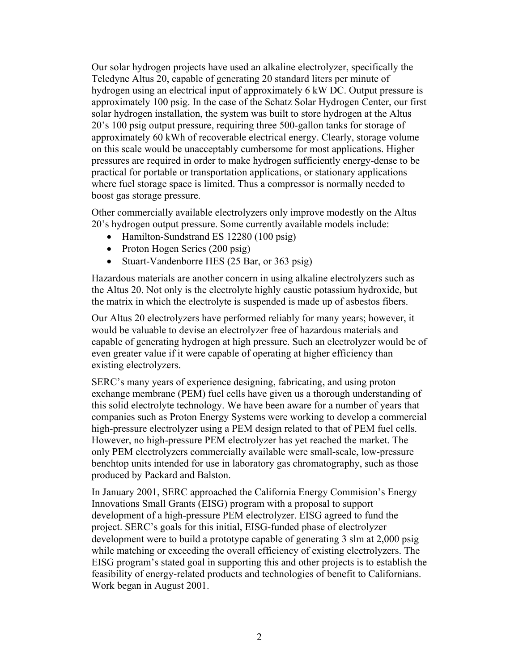Our solar hydrogen projects have used an alkaline electrolyzer, specifically the Teledyne Altus 20, capable of generating 20 standard liters per minute of hydrogen using an electrical input of approximately 6 kW DC. Output pressure is approximately 100 psig. In the case of the Schatz Solar Hydrogen Center, our first solar hydrogen installation, the system was built to store hydrogen at the Altus 20's 100 psig output pressure, requiring three 500-gallon tanks for storage of approximately 60 kWh of recoverable electrical energy. Clearly, storage volume on this scale would be unacceptably cumbersome for most applications. Higher pressures are required in order to make hydrogen sufficiently energy-dense to be practical for portable or transportation applications, or stationary applications where fuel storage space is limited. Thus a compressor is normally needed to boost gas storage pressure.

Other commercially available electrolyzers only improve modestly on the Altus 20's hydrogen output pressure. Some currently available models include:

- Hamilton-Sundstrand ES 12280 (100 psig)
- Proton Hogen Series (200 psig)
- Stuart-Vandenborre HES (25 Bar, or 363 psig)

Hazardous materials are another concern in using alkaline electrolyzers such as the Altus 20. Not only is the electrolyte highly caustic potassium hydroxide, but the matrix in which the electrolyte is suspended is made up of asbestos fibers.

Our Altus 20 electrolyzers have performed reliably for many years; however, it would be valuable to devise an electrolyzer free of hazardous materials and capable of generating hydrogen at high pressure. Such an electrolyzer would be of even greater value if it were capable of operating at higher efficiency than existing electrolyzers.

SERC's many years of experience designing, fabricating, and using proton exchange membrane (PEM) fuel cells have given us a thorough understanding of this solid electrolyte technology. We have been aware for a number of years that companies such as Proton Energy Systems were working to develop a commercial high-pressure electrolyzer using a PEM design related to that of PEM fuel cells. However, no high-pressure PEM electrolyzer has yet reached the market. The only PEM electrolyzers commercially available were small-scale, low-pressure benchtop units intended for use in laboratory gas chromatography, such as those produced by Packard and Balston.

In January 2001, SERC approached the California Energy Commision's Energy Innovations Small Grants (EISG) program with a proposal to support development of a high-pressure PEM electrolyzer. EISG agreed to fund the project. SERC's goals for this initial, EISG-funded phase of electrolyzer development were to build a prototype capable of generating 3 slm at 2,000 psig while matching or exceeding the overall efficiency of existing electrolyzers. The EISG program's stated goal in supporting this and other projects is to establish the feasibility of energy-related products and technologies of benefit to Californians. Work began in August 2001.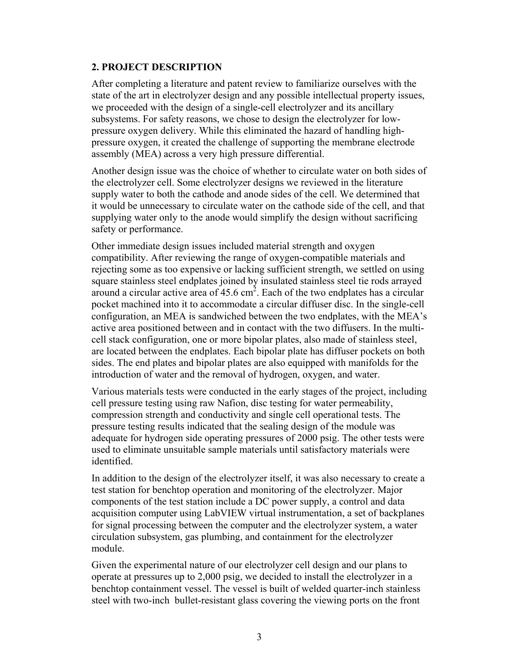### **2. PROJECT DESCRIPTION**

After completing a literature and patent review to familiarize ourselves with the state of the art in electrolyzer design and any possible intellectual property issues, we proceeded with the design of a single-cell electrolyzer and its ancillary subsystems. For safety reasons, we chose to design the electrolyzer for lowpressure oxygen delivery. While this eliminated the hazard of handling highpressure oxygen, it created the challenge of supporting the membrane electrode assembly (MEA) across a very high pressure differential.

Another design issue was the choice of whether to circulate water on both sides of the electrolyzer cell. Some electrolyzer designs we reviewed in the literature supply water to both the cathode and anode sides of the cell. We determined that it would be unnecessary to circulate water on the cathode side of the cell, and that supplying water only to the anode would simplify the design without sacrificing safety or performance.

Other immediate design issues included material strength and oxygen compatibility. After reviewing the range of oxygen-compatible materials and rejecting some as too expensive or lacking sufficient strength, we settled on using square stainless steel endplates joined by insulated stainless steel tie rods arrayed around a circular active area of  $45.6 \text{ cm}^2$ . Each of the two endplates has a circular pocket machined into it to accommodate a circular diffuser disc. In the single-cell configuration, an MEA is sandwiched between the two endplates, with the MEA's active area positioned between and in contact with the two diffusers. In the multicell stack configuration, one or more bipolar plates, also made of stainless steel, are located between the endplates. Each bipolar plate has diffuser pockets on both sides. The end plates and bipolar plates are also equipped with manifolds for the introduction of water and the removal of hydrogen, oxygen, and water.

Various materials tests were conducted in the early stages of the project, including cell pressure testing using raw Nafion, disc testing for water permeability, compression strength and conductivity and single cell operational tests. The pressure testing results indicated that the sealing design of the module was adequate for hydrogen side operating pressures of 2000 psig. The other tests were used to eliminate unsuitable sample materials until satisfactory materials were identified.

In addition to the design of the electrolyzer itself, it was also necessary to create a test station for benchtop operation and monitoring of the electrolyzer. Major components of the test station include a DC power supply, a control and data acquisition computer using LabVIEW virtual instrumentation, a set of backplanes for signal processing between the computer and the electrolyzer system, a water circulation subsystem, gas plumbing, and containment for the electrolyzer module.

Given the experimental nature of our electrolyzer cell design and our plans to operate at pressures up to 2,000 psig, we decided to install the electrolyzer in a benchtop containment vessel. The vessel is built of welded quarter-inch stainless steel with two-inch bullet-resistant glass covering the viewing ports on the front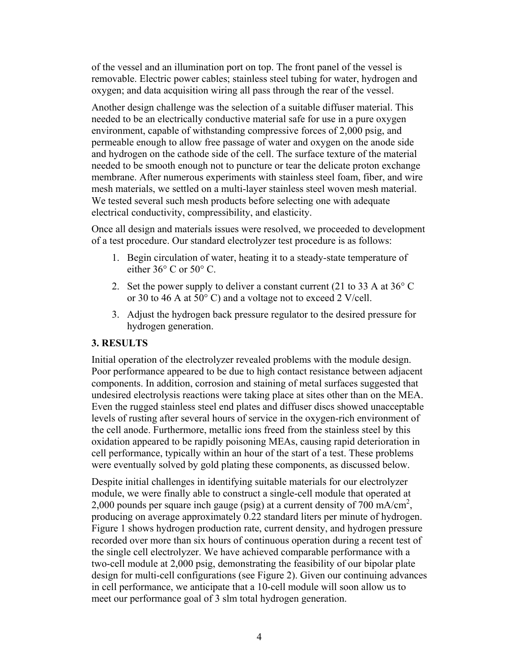of the vessel and an illumination port on top. The front panel of the vessel is removable. Electric power cables; stainless steel tubing for water, hydrogen and oxygen; and data acquisition wiring all pass through the rear of the vessel.

Another design challenge was the selection of a suitable diffuser material. This needed to be an electrically conductive material safe for use in a pure oxygen environment, capable of withstanding compressive forces of 2,000 psig, and permeable enough to allow free passage of water and oxygen on the anode side and hydrogen on the cathode side of the cell. The surface texture of the material needed to be smooth enough not to puncture or tear the delicate proton exchange membrane. After numerous experiments with stainless steel foam, fiber, and wire mesh materials, we settled on a multi-layer stainless steel woven mesh material. We tested several such mesh products before selecting one with adequate electrical conductivity, compressibility, and elasticity.

Once all design and materials issues were resolved, we proceeded to development of a test procedure. Our standard electrolyzer test procedure is as follows:

- 1. Begin circulation of water, heating it to a steady-state temperature of either 36° C or 50° C.
- 2. Set the power supply to deliver a constant current (21 to 33 A at 36° C or 30 to 46 A at 50° C) and a voltage not to exceed 2 V/cell.
- 3. Adjust the hydrogen back pressure regulator to the desired pressure for hydrogen generation.

## **3. RESULTS**

Initial operation of the electrolyzer revealed problems with the module design. Poor performance appeared to be due to high contact resistance between adjacent components. In addition, corrosion and staining of metal surfaces suggested that undesired electrolysis reactions were taking place at sites other than on the MEA. Even the rugged stainless steel end plates and diffuser discs showed unacceptable levels of rusting after several hours of service in the oxygen-rich environment of the cell anode. Furthermore, metallic ions freed from the stainless steel by this oxidation appeared to be rapidly poisoning MEAs, causing rapid deterioration in cell performance, typically within an hour of the start of a test. These problems were eventually solved by gold plating these components, as discussed below.

Despite initial challenges in identifying suitable materials for our electrolyzer module, we were finally able to construct a single-cell module that operated at 2,000 pounds per square inch gauge (psig) at a current density of  $700 \text{ mA/cm}^2$ , producing on average approximately 0.22 standard liters per minute of hydrogen. Figure 1 shows hydrogen production rate, current density, and hydrogen pressure recorded over more than six hours of continuous operation during a recent test of the single cell electrolyzer. We have achieved comparable performance with a two-cell module at 2,000 psig, demonstrating the feasibility of our bipolar plate design for multi-cell configurations (see Figure 2). Given our continuing advances in cell performance, we anticipate that a 10-cell module will soon allow us to meet our performance goal of 3 slm total hydrogen generation.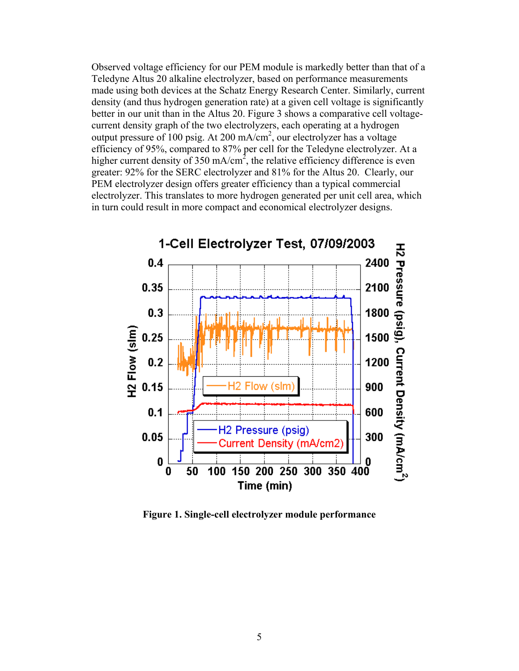Observed voltage efficiency for our PEM module is markedly better than that of a Teledyne Altus 20 alkaline electrolyzer, based on performance measurements made using both devices at the Schatz Energy Research Center. Similarly, current density (and thus hydrogen generation rate) at a given cell voltage is significantly better in our unit than in the Altus 20. Figure 3 shows a comparative cell voltagecurrent density graph of the two electrolyzers, each operating at a hydrogen output pressure of 100 psig. At 200 mA/cm2 , our electrolyzer has a voltage efficiency of 95%, compared to 87% per cell for the Teledyne electrolyzer. At a higher current density of 350 mA/cm<sup>2</sup>, the relative efficiency difference is even greater: 92% for the SERC electrolyzer and 81% for the Altus 20. Clearly, our PEM electrolyzer design offers greater efficiency than a typical commercial electrolyzer. This translates to more hydrogen generated per unit cell area, which in turn could result in more compact and economical electrolyzer designs.



**Figure 1. Single-cell electrolyzer module performance**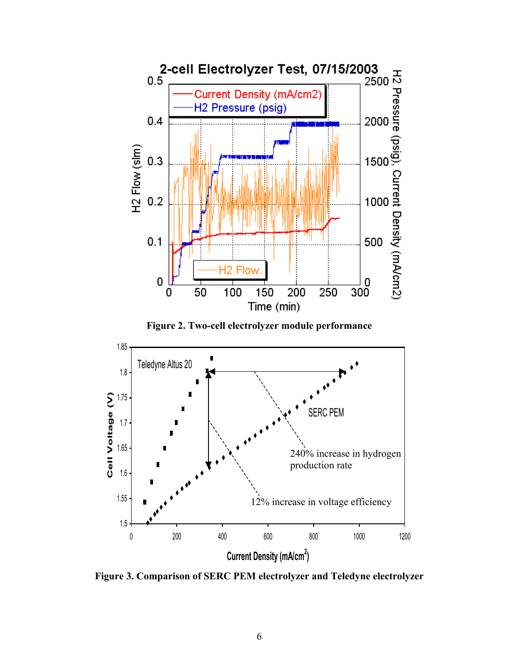

**Figure 2. Two-cell electrolyzer module performance** 



**Figure 3. Comparison of SERC PEM electrolyzer and Teledyne electrolyzer**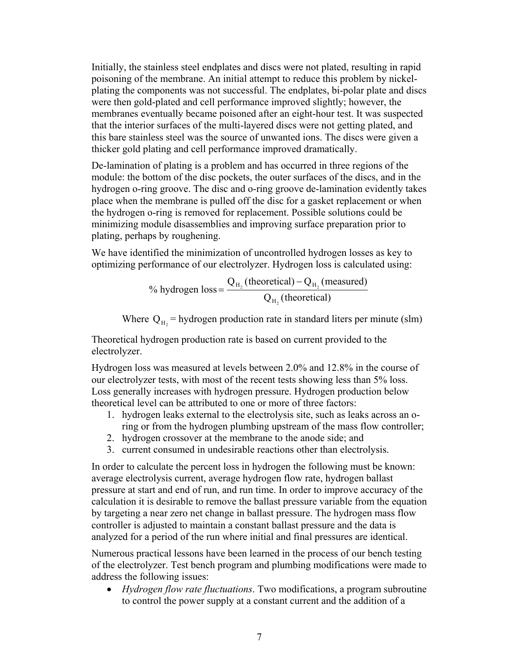Initially, the stainless steel endplates and discs were not plated, resulting in rapid poisoning of the membrane. An initial attempt to reduce this problem by nickelplating the components was not successful. The endplates, bi-polar plate and discs were then gold-plated and cell performance improved slightly; however, the membranes eventually became poisoned after an eight-hour test. It was suspected that the interior surfaces of the multi-layered discs were not getting plated, and this bare stainless steel was the source of unwanted ions. The discs were given a thicker gold plating and cell performance improved dramatically.

De-lamination of plating is a problem and has occurred in three regions of the module: the bottom of the disc pockets, the outer surfaces of the discs, and in the hydrogen o-ring groove. The disc and o-ring groove de-lamination evidently takes place when the membrane is pulled off the disc for a gasket replacement or when the hydrogen o-ring is removed for replacement. Possible solutions could be minimizing module disassemblies and improving surface preparation prior to plating, perhaps by roughening.

We have identified the minimization of uncontrolled hydrogen losses as key to optimizing performance of our electrolyzer. Hydrogen loss is calculated using:

> % hydrogen loss =  $\frac{Q_{\text{H}_2}(\text{measured}) - Q_{\text{H}_2}(\text{theoretical})}{Q_{\text{H}_2}(\text{theoretical})}$  $Q_{H_2}$  (theoretical) –  $Q_{H_2}$  (measured) 2 2  $\times$   $n_2$ H  $=\frac{Q_{H_2}(\text{theoretical})-Q_{H_1}}{Q_{H_2}(\text{theoretical})-Q_{H_2}}$

Where  $Q_H$  = hydrogen production rate in standard liters per minute (slm)

Theoretical hydrogen production rate is based on current provided to the electrolyzer.

Hydrogen loss was measured at levels between 2.0% and 12.8% in the course of our electrolyzer tests, with most of the recent tests showing less than 5% loss. Loss generally increases with hydrogen pressure. Hydrogen production below theoretical level can be attributed to one or more of three factors:

- 1. hydrogen leaks external to the electrolysis site, such as leaks across an oring or from the hydrogen plumbing upstream of the mass flow controller;
- 2. hydrogen crossover at the membrane to the anode side; and
- 3. current consumed in undesirable reactions other than electrolysis.

In order to calculate the percent loss in hydrogen the following must be known: average electrolysis current, average hydrogen flow rate, hydrogen ballast pressure at start and end of run, and run time. In order to improve accuracy of the calculation it is desirable to remove the ballast pressure variable from the equation by targeting a near zero net change in ballast pressure. The hydrogen mass flow controller is adjusted to maintain a constant ballast pressure and the data is analyzed for a period of the run where initial and final pressures are identical.

Numerous practical lessons have been learned in the process of our bench testing of the electrolyzer. Test bench program and plumbing modifications were made to address the following issues:

• *Hydrogen flow rate fluctuations*. Two modifications, a program subroutine to control the power supply at a constant current and the addition of a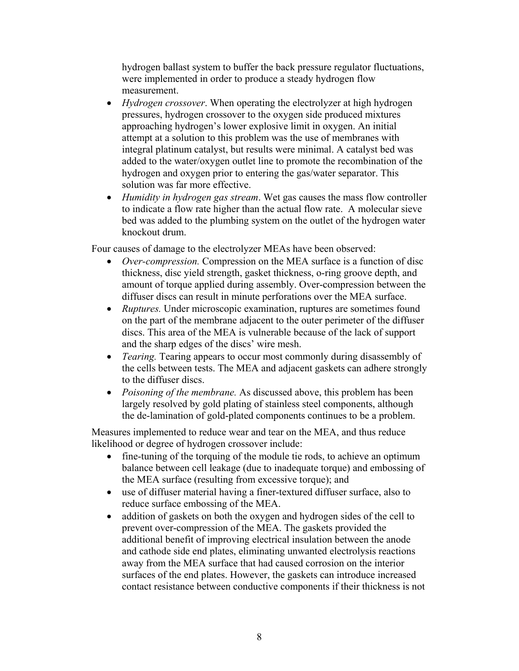hydrogen ballast system to buffer the back pressure regulator fluctuations, were implemented in order to produce a steady hydrogen flow measurement.

- *Hydrogen crossover*. When operating the electrolyzer at high hydrogen pressures, hydrogen crossover to the oxygen side produced mixtures approaching hydrogen's lower explosive limit in oxygen. An initial attempt at a solution to this problem was the use of membranes with integral platinum catalyst, but results were minimal. A catalyst bed was added to the water/oxygen outlet line to promote the recombination of the hydrogen and oxygen prior to entering the gas/water separator. This solution was far more effective.
- *Humidity in hydrogen gas stream*. Wet gas causes the mass flow controller to indicate a flow rate higher than the actual flow rate. A molecular sieve bed was added to the plumbing system on the outlet of the hydrogen water knockout drum.

Four causes of damage to the electrolyzer MEAs have been observed:

- *Over-compression.* Compression on the MEA surface is a function of disc thickness, disc yield strength, gasket thickness, o-ring groove depth, and amount of torque applied during assembly. Over-compression between the diffuser discs can result in minute perforations over the MEA surface.
- *Ruptures*. Under microscopic examination, ruptures are sometimes found on the part of the membrane adjacent to the outer perimeter of the diffuser discs. This area of the MEA is vulnerable because of the lack of support and the sharp edges of the discs' wire mesh.
- *Tearing.* Tearing appears to occur most commonly during disassembly of the cells between tests. The MEA and adjacent gaskets can adhere strongly to the diffuser discs.
- *Poisoning of the membrane.* As discussed above, this problem has been largely resolved by gold plating of stainless steel components, although the de-lamination of gold-plated components continues to be a problem.

Measures implemented to reduce wear and tear on the MEA, and thus reduce likelihood or degree of hydrogen crossover include:

- fine-tuning of the torquing of the module tie rods, to achieve an optimum balance between cell leakage (due to inadequate torque) and embossing of the MEA surface (resulting from excessive torque); and
- use of diffuser material having a finer-textured diffuser surface, also to reduce surface embossing of the MEA.
- addition of gaskets on both the oxygen and hydrogen sides of the cell to prevent over-compression of the MEA. The gaskets provided the additional benefit of improving electrical insulation between the anode and cathode side end plates, eliminating unwanted electrolysis reactions away from the MEA surface that had caused corrosion on the interior surfaces of the end plates. However, the gaskets can introduce increased contact resistance between conductive components if their thickness is not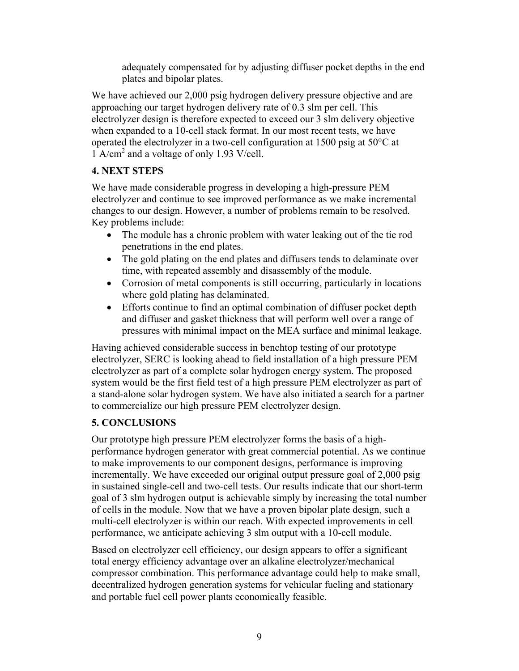adequately compensated for by adjusting diffuser pocket depths in the end plates and bipolar plates.

We have achieved our 2,000 psig hydrogen delivery pressure objective and are approaching our target hydrogen delivery rate of 0.3 slm per cell. This electrolyzer design is therefore expected to exceed our 3 slm delivery objective when expanded to a 10-cell stack format. In our most recent tests, we have operated the electrolyzer in a two-cell configuration at 1500 psig at 50°C at 1 A/cm2 and a voltage of only 1.93 V/cell.

## **4. NEXT STEPS**

We have made considerable progress in developing a high-pressure PEM electrolyzer and continue to see improved performance as we make incremental changes to our design. However, a number of problems remain to be resolved. Key problems include:

- The module has a chronic problem with water leaking out of the tie rod penetrations in the end plates.
- The gold plating on the end plates and diffusers tends to delaminate over time, with repeated assembly and disassembly of the module.
- Corrosion of metal components is still occurring, particularly in locations where gold plating has delaminated.
- Efforts continue to find an optimal combination of diffuser pocket depth and diffuser and gasket thickness that will perform well over a range of pressures with minimal impact on the MEA surface and minimal leakage.

Having achieved considerable success in benchtop testing of our prototype electrolyzer, SERC is looking ahead to field installation of a high pressure PEM electrolyzer as part of a complete solar hydrogen energy system. The proposed system would be the first field test of a high pressure PEM electrolyzer as part of a stand-alone solar hydrogen system. We have also initiated a search for a partner to commercialize our high pressure PEM electrolyzer design.

## **5. CONCLUSIONS**

Our prototype high pressure PEM electrolyzer forms the basis of a highperformance hydrogen generator with great commercial potential. As we continue to make improvements to our component designs, performance is improving incrementally. We have exceeded our original output pressure goal of 2,000 psig in sustained single-cell and two-cell tests. Our results indicate that our short-term goal of 3 slm hydrogen output is achievable simply by increasing the total number of cells in the module. Now that we have a proven bipolar plate design, such a multi-cell electrolyzer is within our reach. With expected improvements in cell performance, we anticipate achieving 3 slm output with a 10-cell module.

Based on electrolyzer cell efficiency, our design appears to offer a significant total energy efficiency advantage over an alkaline electrolyzer/mechanical compressor combination. This performance advantage could help to make small, decentralized hydrogen generation systems for vehicular fueling and stationary and portable fuel cell power plants economically feasible.